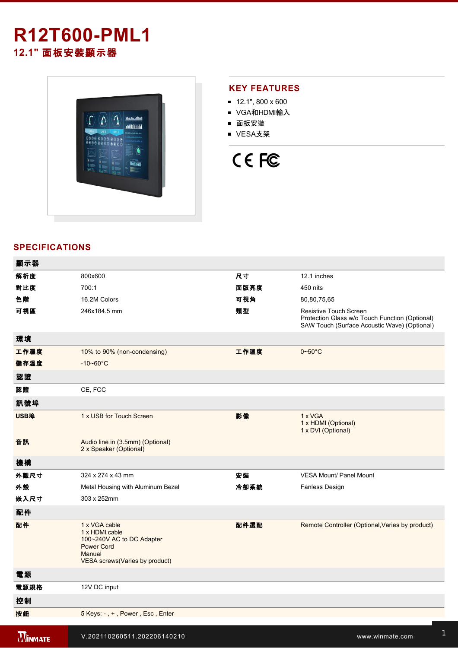## **R12T600-PML1 12.1"** 面板安裝顯示器



#### **KEY FEATURES**

- $12.1$ ", 800 x 600
- VGA和HDMI輸入
- 面板安裝
- VESA支架

# CE FC

#### **SPECIFICATIONS**

| 顯示器            |                                                                                                                                |      |                                                                                                                          |
|----------------|--------------------------------------------------------------------------------------------------------------------------------|------|--------------------------------------------------------------------------------------------------------------------------|
| 解析度            | 800x600                                                                                                                        | 尺寸   | 12.1 inches                                                                                                              |
| 對比度            | 700:1                                                                                                                          | 面版亮度 | 450 nits                                                                                                                 |
| 色階             | 16.2M Colors                                                                                                                   | 可視角  | 80,80,75,65                                                                                                              |
| 可視區            | 246x184.5 mm                                                                                                                   | 類型   | Resistive Touch Screen<br>Protection Glass w/o Touch Function (Optional)<br>SAW Touch (Surface Acoustic Wave) (Optional) |
| 環境             |                                                                                                                                |      |                                                                                                                          |
| 工作濕度           | 10% to 90% (non-condensing)                                                                                                    | 工作溫度 | $0\nightharpoonup 50^\circ C$                                                                                            |
| 儲存溫度           | $-10 - 60^{\circ}$ C                                                                                                           |      |                                                                                                                          |
| 認證             |                                                                                                                                |      |                                                                                                                          |
| 認證             | CE, FCC                                                                                                                        |      |                                                                                                                          |
| 訊號埠            |                                                                                                                                |      |                                                                                                                          |
| USB埠           | 1 x USB for Touch Screen                                                                                                       | 影像   | 1 x VGA<br>1 x HDMI (Optional)<br>1 x DVI (Optional)                                                                     |
| 音訊             | Audio line in (3.5mm) (Optional)<br>2 x Speaker (Optional)                                                                     |      |                                                                                                                          |
| 機構             |                                                                                                                                |      |                                                                                                                          |
| 外觀尺寸           | 324 x 274 x 43 mm                                                                                                              | 安装   | <b>VESA Mount/ Panel Mount</b>                                                                                           |
| 外殼             | Metal Housing with Aluminum Bezel                                                                                              | 冷卻系統 | Fanless Design                                                                                                           |
| 嵌入尺寸           | 303 x 252mm                                                                                                                    |      |                                                                                                                          |
| 配件             |                                                                                                                                |      |                                                                                                                          |
| 配件             | 1 x VGA cable<br>1 x HDMI cable<br>100~240V AC to DC Adapter<br><b>Power Cord</b><br>Manual<br>VESA screws (Varies by product) | 配件選配 | Remote Controller (Optional, Varies by product)                                                                          |
| 電源             |                                                                                                                                |      |                                                                                                                          |
| 電源規格           | 12V DC input                                                                                                                   |      |                                                                                                                          |
| 控制             |                                                                                                                                |      |                                                                                                                          |
| 按鈕             | 5 Keys: -, +, Power, Esc, Enter                                                                                                |      |                                                                                                                          |
| <b>WINMATE</b> | V.202110260511.202206140210                                                                                                    |      | www.winmate.com                                                                                                          |